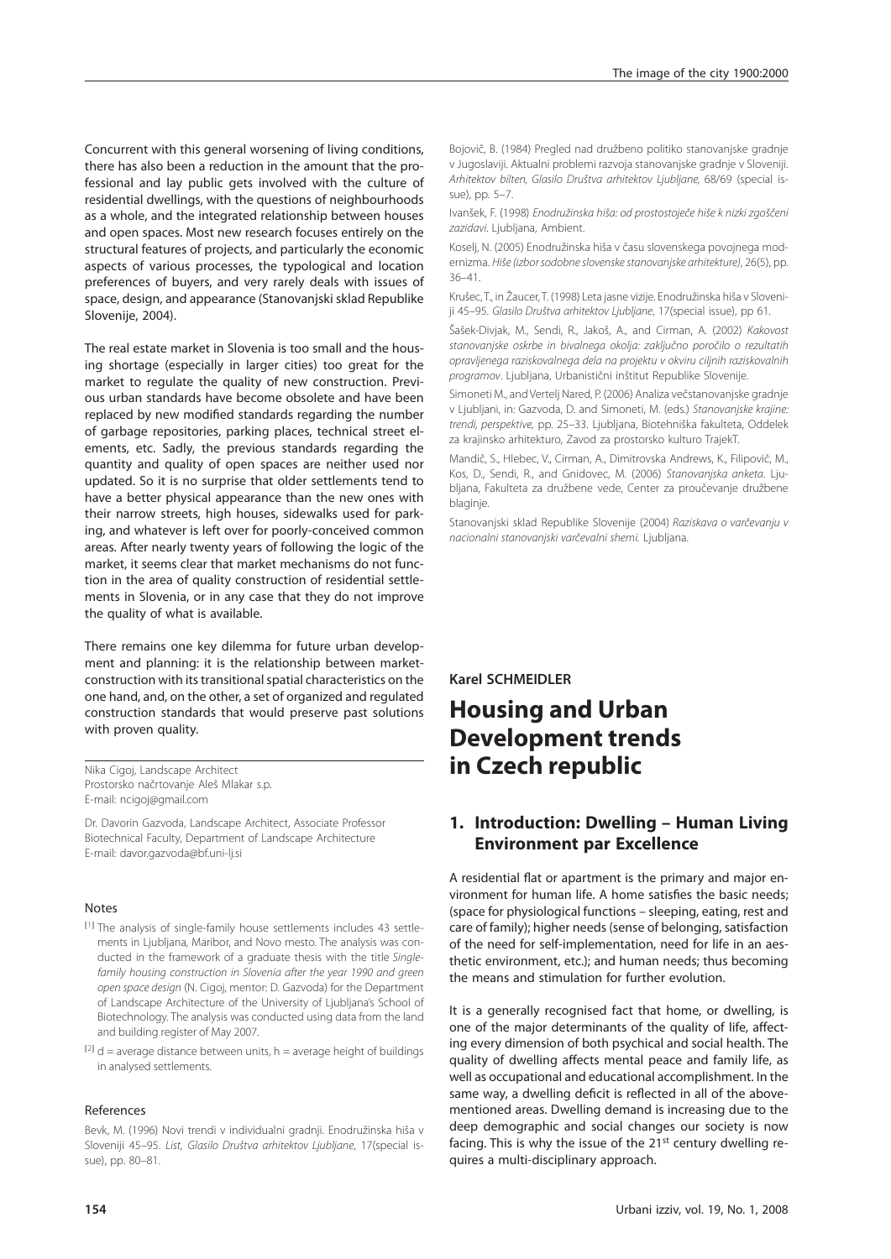Concurrent with this general worsening of living conditions, there has also been a reduction in the amount that the professional and lay public gets involved with the culture of residential dwellings, with the questions of neighbourhoods as a whole, and the integrated relationship between houses and open spaces. Most new research focuses entirely on the structural features of projects, and particularly the economic aspects of various processes, the typological and location preferences of buyers, and very rarely deals with issues of space, design, and appearance (Stanovanjski sklad Republike Slovenije, 2004).

The real estate market in Slovenia is too small and the housing shortage (especially in larger cities) too great for the market to regulate the quality of new construction. Previous urban standards have become obsolete and have been replaced by new modified standards regarding the number of garbage repositories, parking places, technical street elements, etc. Sadly, the previous standards regarding the quantity and quality of open spaces are neither used nor updated. So it is no surprise that older settlements tend to have a better physical appearance than the new ones with their narrow streets, high houses, sidewalks used for parking, and whatever is left over for poorly-conceived common areas. After nearly twenty years of following the logic of the market, it seems clear that market mechanisms do not function in the area of quality construction of residential settlements in Slovenia, or in any case that they do not improve the quality of what is available.

There remains one key dilemma for future urban development and planning: it is the relationship between marketconstruction with its transitional spatial characteristics on the one hand, and, on the other, a set of organized and regulated construction standards that would preserve past solutions with proven quality.

Nika Cigoj, Landscape Architect Prostorsko načrtovanje Aleš Mlakar s.p. E-mail: ncigoj@gmail.com

Dr. Davorin Gazvoda, Landscape Architect, Associate Professor Biotechnical Faculty, Department of Landscape Architecture E-mail: davor.gazvoda@bf.uni-lj.si

#### Notes

- [1] The analysis of single-family house settlements includes 43 settlements in Ljubljana, Maribor, and Novo mesto. The analysis was conducted in the framework of a graduate thesis with the title Singlefamily housing construction in Slovenia after the year 1990 and green open space design (N. Cigoj, mentor: D. Gazvoda) for the Department of Landscape Architecture of the University of Ljubljana's School of Biotechnology. The analysis was conducted using data from the land and building register of May 2007.
- $[2]$  d = average distance between units, h = average height of buildings in analysed settlements.

#### References

Bevk, M. (1996) Novi trendi v individualni gradnji. Enodružinska hiša v Sloveniji 45–95. List, Glasilo Društva arhitektov Ljubljane, 17(special issue), pp. 80–81.

Bojovič, B. (1984) Pregled nad družbeno politiko stanovanjske gradnje v Jugoslaviji. Aktualni problemi razvoja stanovanjske gradnje v Sloveniji. Arhitektov bilten, Glasilo Društva arhitektov Ljubljane, 68/69 (special issue), pp. 5–7.

Ivanšek, F. (1998) Enodružinska hiša: od prostostoječe hiše k nizki zgoščeni zazidavi. Ljubljana, Ambient.

Koselj, N. (2005) Enodružinska hiša v času slovenskega povojnega modernizma. Hiše (izbor sodobne slovenske stanovanjske arhitekture), 26(5), pp. 36–41.

Krušec, T., in Žaucer, T. (1998) Leta jasne vizije. Enodružinska hiša v Sloveniji 45–95. Glasilo Društva arhitektov Ljubljane, 17(special issue), pp 61.

Šašek-Divjak, M., Sendi, R., Jakoš, A., and Cirman, A. (2002) Kakovost stanovanjske oskrbe in bivalnega okolja: zaključno poročilo o rezultatih opravljenega raziskovalnega dela na projektu v okviru ciljnih raziskovalnih programov. Ljubljana, Urbanistični inštitut Republike Slovenije.

Simoneti M., and Vertelj Nared, P. (2006) Analiza večstanovanjske gradnje v Ljubljani, in: Gazvoda, D. and Simoneti, M. (eds.) Stanovanjske krajine: trendi, perspektive, pp. 25–33. Ljubljana, Biotehniška fakulteta, Oddelek za krajinsko arhitekturo, Zavod za prostorsko kulturo TrajekT.

Mandič, S., Hlebec, V., Cirman, A., Dimitrovska Andrews, K., Filipovič, M., Kos, D., Sendi, R., and Gnidovec, M. (2006) Stanovanjska anketa. Ljubljana, Fakulteta za družbene vede, Center za proučevanje družbene blaginje.

Stanovanjski sklad Republike Slovenije (2004) Raziskava o varčevanju v nacionalni stanovanjski varčevalni shemi. Ljubljana.

**Karel SCHMEIDLER** 

# **Housing and Urban Development trends in Czech republic**

## **1. Introduction: Dwelling – Human Living Environment par Excellence**

A residential flat or apartment is the primary and major environment for human life. A home satisfies the basic needs: (space for physiological functions – sleeping, eating, rest and care of family); higher needs (sense of belonging, satisfaction of the need for self-implementation, need for life in an aesthetic environment, etc.); and human needs; thus becoming the means and stimulation for further evolution.

It is a generally recognised fact that home, or dwelling, is one of the major determinants of the quality of life, affecting every dimension of both psychical and social health. The quality of dwelling affects mental peace and family life, as well as occupational and educational accomplishment. In the same way, a dwelling deficit is reflected in all of the abovementioned areas. Dwelling demand is increasing due to the deep demographic and social changes our society is now facing. This is why the issue of the 21<sup>st</sup> century dwelling requires a multi-disciplinary approach.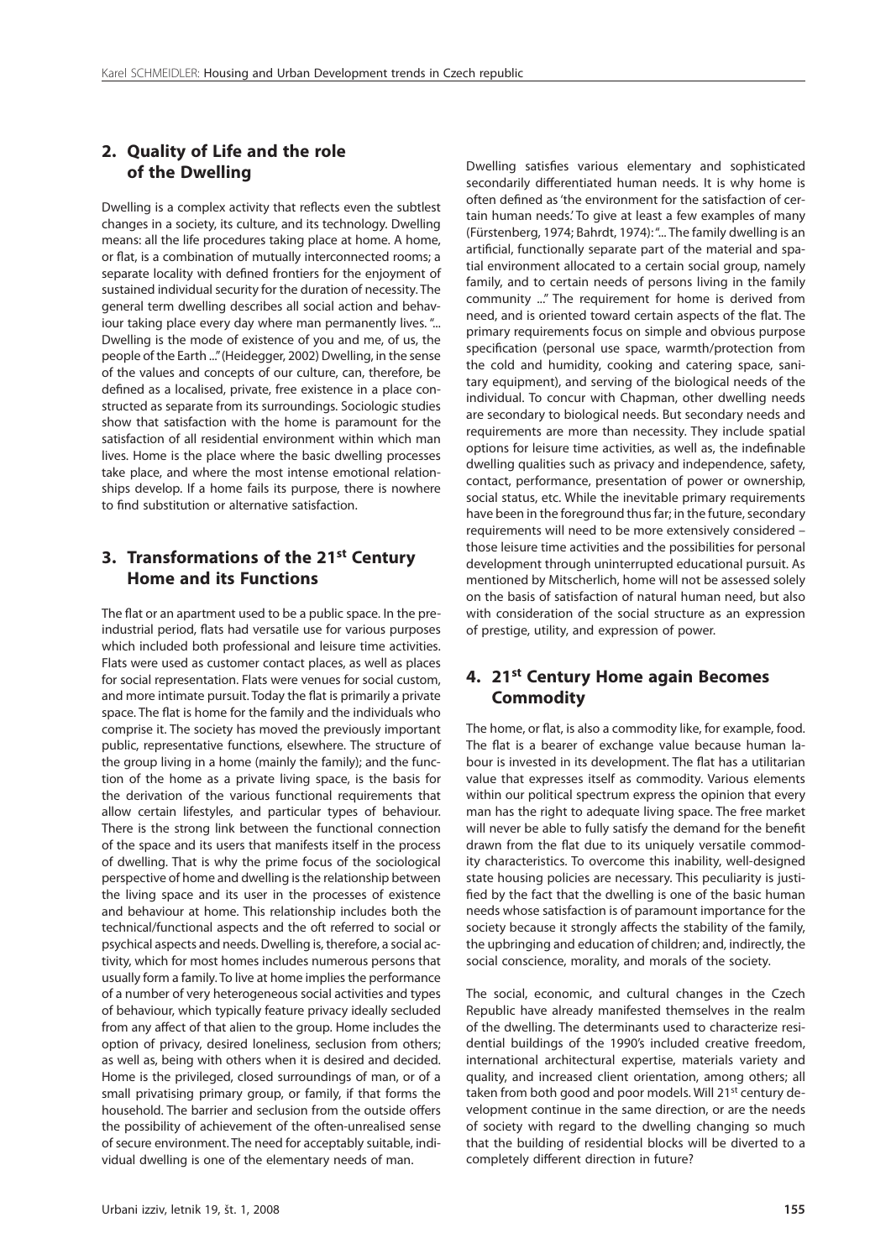#### **2. Quality of Life and the role of the Dwelling**

Dwelling is a complex activity that reflects even the subtlest changes in a society, its culture, and its technology. Dwelling means: all the life procedures taking place at home. A home, or flat, is a combination of mutually interconnected rooms; a separate locality with defined frontiers for the enjoyment of sustained individual security for the duration of necessity. The general term dwelling describes all social action and behaviour taking place every day where man permanently lives. "... Dwelling is the mode of existence of you and me, of us, the people of the Earth ..." (Heidegger, 2002) Dwelling, in the sense of the values and concepts of our culture, can, therefore, be defined as a localised, private, free existence in a place constructed as separate from its surroundings. Sociologic studies show that satisfaction with the home is paramount for the satisfaction of all residential environment within which man lives. Home is the place where the basic dwelling processes take place, and where the most intense emotional relationships develop. If a home fails its purpose, there is nowhere to find substitution or alternative satisfaction.

### **3. Transformations of the 21st Century Home and its Functions**

The flat or an apartment used to be a public space. In the preindustrial period, flats had versatile use for various purposes which included both professional and leisure time activities. Flats were used as customer contact places, as well as places for social representation. Flats were venues for social custom, and more intimate pursuit. Today the flat is primarily a private space. The flat is home for the family and the individuals who comprise it. The society has moved the previously important public, representative functions, elsewhere. The structure of the group living in a home (mainly the family); and the function of the home as a private living space, is the basis for the derivation of the various functional requirements that allow certain lifestyles, and particular types of behaviour. There is the strong link between the functional connection of the space and its users that manifests itself in the process of dwelling. That is why the prime focus of the sociological perspective of home and dwelling is the relationship between the living space and its user in the processes of existence and behaviour at home. This relationship includes both the technical/functional aspects and the oft referred to social or psychical aspects and needs. Dwelling is, therefore, a social activity, which for most homes includes numerous persons that usually form a family. To live at home implies the performance of a number of very heterogeneous social activities and types of behaviour, which typically feature privacy ideally secluded from any affect of that alien to the group. Home includes the option of privacy, desired loneliness, seclusion from others; as well as, being with others when it is desired and decided. Home is the privileged, closed surroundings of man, or of a small privatising primary group, or family, if that forms the household. The barrier and seclusion from the outside offers the possibility of achievement of the often-unrealised sense of secure environment. The need for acceptably suitable, individual dwelling is one of the elementary needs of man.

Dwelling satisfies various elementary and sophisticated secondarily differentiated human needs. It is why home is often defined as 'the environment for the satisfaction of certain human needs.' To give at least a few examples of many (Fürstenberg, 1974; Bahrdt, 1974): "... The family dwelling is an artificial, functionally separate part of the material and spatial environment allocated to a certain social group, namely family, and to certain needs of persons living in the family community ..." The requirement for home is derived from need, and is oriented toward certain aspects of the flat. The primary requirements focus on simple and obvious purpose specification (personal use space, warmth/protection from the cold and humidity, cooking and catering space, sanitary equipment), and serving of the biological needs of the individual. To concur with Chapman, other dwelling needs are secondary to biological needs. But secondary needs and requirements are more than necessity. They include spatial options for leisure time activities, as well as, the indefinable dwelling qualities such as privacy and independence, safety, contact, performance, presentation of power or ownership, social status, etc. While the inevitable primary requirements have been in the foreground thus far; in the future, secondary requirements will need to be more extensively considered – those leisure time activities and the possibilities for personal development through uninterrupted educational pursuit. As mentioned by Mitscherlich, home will not be assessed solely on the basis of satisfaction of natural human need, but also with consideration of the social structure as an expression of prestige, utility, and expression of power.

## **4. 21st Century Home again Becomes Commodity**

The home, or flat, is also a commodity like, for example, food. The flat is a bearer of exchange value because human labour is invested in its development. The flat has a utilitarian value that expresses itself as commodity. Various elements within our political spectrum express the opinion that every man has the right to adequate living space. The free market will never be able to fully satisfy the demand for the benefit drawn from the flat due to its uniquely versatile commodity characteristics. To overcome this inability, well-designed state housing policies are necessary. This peculiarity is justified by the fact that the dwelling is one of the basic human needs whose satisfaction is of paramount importance for the society because it strongly affects the stability of the family, the upbringing and education of children; and, indirectly, the social conscience, morality, and morals of the society.

The social, economic, and cultural changes in the Czech Republic have already manifested themselves in the realm of the dwelling. The determinants used to characterize residential buildings of the 1990's included creative freedom, international architectural expertise, materials variety and quality, and increased client orientation, among others; all taken from both good and poor models. Will 21<sup>st</sup> century development continue in the same direction, or are the needs of society with regard to the dwelling changing so much that the building of residential blocks will be diverted to a completely different direction in future?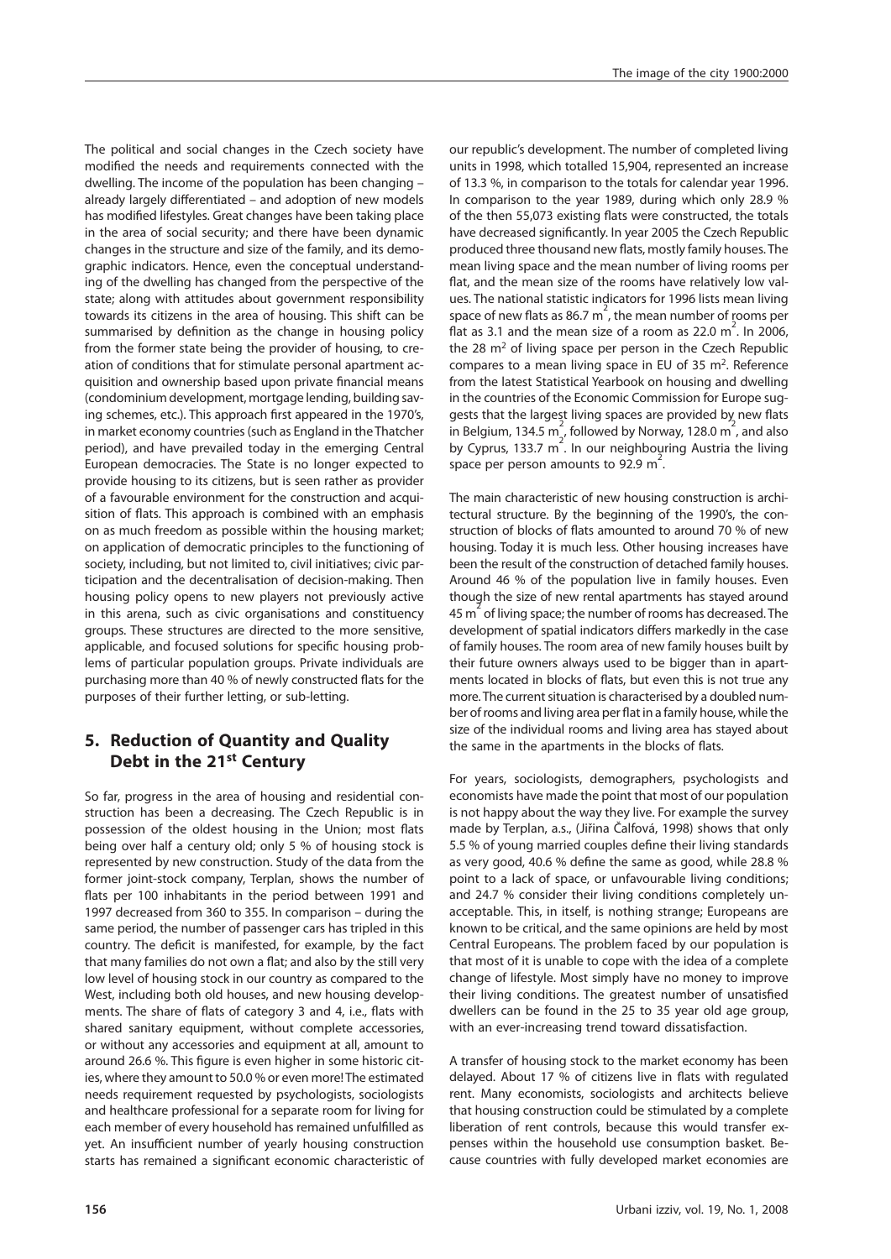The political and social changes in the Czech society have modified the needs and requirements connected with the dwelling. The income of the population has been changing – already largely differentiated - and adoption of new models has modified lifestyles. Great changes have been taking place in the area of social security; and there have been dynamic changes in the structure and size of the family, and its demographic indicators. Hence, even the conceptual understanding of the dwelling has changed from the perspective of the state; along with attitudes about government responsibility towards its citizens in the area of housing. This shift can be summarised by definition as the change in housing policy from the former state being the provider of housing, to creation of conditions that for stimulate personal apartment acquisition and ownership based upon private financial means (condominium development, mortgage lending, building saving schemes, etc.). This approach first appeared in the 1970's, in market economy countries (such as England in the Thatcher period), and have prevailed today in the emerging Central European democracies. The State is no longer expected to provide housing to its citizens, but is seen rather as provider of a favourable environment for the construction and acquisition of flats. This approach is combined with an emphasis on as much freedom as possible within the housing market; on application of democratic principles to the functioning of society, including, but not limited to, civil initiatives; civic participation and the decentralisation of decision-making. Then housing policy opens to new players not previously active in this arena, such as civic organisations and constituency groups. These structures are directed to the more sensitive, applicable, and focused solutions for specific housing problems of particular population groups. Private individuals are purchasing more than 40 % of newly constructed flats for the purposes of their further letting, or sub-letting.

## **5. Reduction of Quantity and Quality Debt in the 21st Century**

So far, progress in the area of housing and residential construction has been a decreasing. The Czech Republic is in possession of the oldest housing in the Union; most flats being over half a century old; only 5 % of housing stock is represented by new construction. Study of the data from the former joint-stock company, Terplan, shows the number of flats per 100 inhabitants in the period between 1991 and 1997 decreased from 360 to 355. In comparison – during the same period, the number of passenger cars has tripled in this country. The deficit is manifested, for example, by the fact that many families do not own a flat; and also by the still very low level of housing stock in our country as compared to the West, including both old houses, and new housing developments. The share of flats of category 3 and 4, i.e., flats with shared sanitary equipment, without complete accessories, or without any accessories and equipment at all, amount to around 26.6 %. This figure is even higher in some historic cities, where they amount to 50.0 % or even more! The estimated needs requirement requested by psychologists, sociologists and healthcare professional for a separate room for living for each member of every household has remained unfulfilled as yet. An insufficient number of yearly housing construction starts has remained a significant economic characteristic of

our republic's development. The number of completed living units in 1998, which totalled 15,904, represented an increase of 13.3 %, in comparison to the totals for calendar year 1996. In comparison to the year 1989, during which only 28.9 % of the then 55,073 existing flats were constructed, the totals have decreased significantly. In year 2005 the Czech Republic produced three thousand new flats, mostly family houses. The mean living space and the mean number of living rooms per flat, and the mean size of the rooms have relatively low values. The national statistic indicators for 1996 lists mean living space of new flats as 86.7 m<sup>2</sup>, the mean number of rooms per flat as 3.1 and the mean size of a room as  $22.0 \text{ m}^2$ . In 2006, the 28  $m<sup>2</sup>$  of living space per person in the Czech Republic compares to a mean living space in EU of 35 m2. Reference from the latest Statistical Yearbook on housing and dwelling in the countries of the Economic Commission for Europe suggests that the largest living spaces are provided by new flats in Belgium, 134.5 m<sup>2</sup>, followed by Norway, 128.0 m<sup>2</sup>, and also by Cyprus, 133.7 m<sup>2</sup>. In our neighbouring Austria the living space per person amounts to 92.9 m<sup>2</sup>.

The main characteristic of new housing construction is architectural structure. By the beginning of the 1990's, the construction of blocks of flats amounted to around 70 % of new housing. Today it is much less. Other housing increases have been the result of the construction of detached family houses. Around 46 % of the population live in family houses. Even though the size of new rental apartments has stayed around 45 m<sup>2</sup> of living space; the number of rooms has decreased. The development of spatial indicators differs markedly in the case of family houses. The room area of new family houses built by their future owners always used to be bigger than in apartments located in blocks of flats, but even this is not true any more. The current situation is characterised by a doubled number of rooms and living area per flat in a family house, while the size of the individual rooms and living area has stayed about the same in the apartments in the blocks of flats.

For years, sociologists, demographers, psychologists and economists have made the point that most of our population is not happy about the way they live. For example the survey made by Terplan, a.s., (Jiřina Čalfová, 1998) shows that only 5.5 % of young married couples define their living standards as very good, 40.6 % define the same as good, while 28.8 % point to a lack of space, or unfavourable living conditions; and 24.7 % consider their living conditions completely unacceptable. This, in itself, is nothing strange; Europeans are known to be critical, and the same opinions are held by most Central Europeans. The problem faced by our population is that most of it is unable to cope with the idea of a complete change of lifestyle. Most simply have no money to improve their living conditions. The greatest number of unsatisfied dwellers can be found in the 25 to 35 year old age group, with an ever-increasing trend toward dissatisfaction.

A transfer of housing stock to the market economy has been delayed. About 17 % of citizens live in flats with regulated rent. Many economists, sociologists and architects believe that housing construction could be stimulated by a complete liberation of rent controls, because this would transfer expenses within the household use consumption basket. Because countries with fully developed market economies are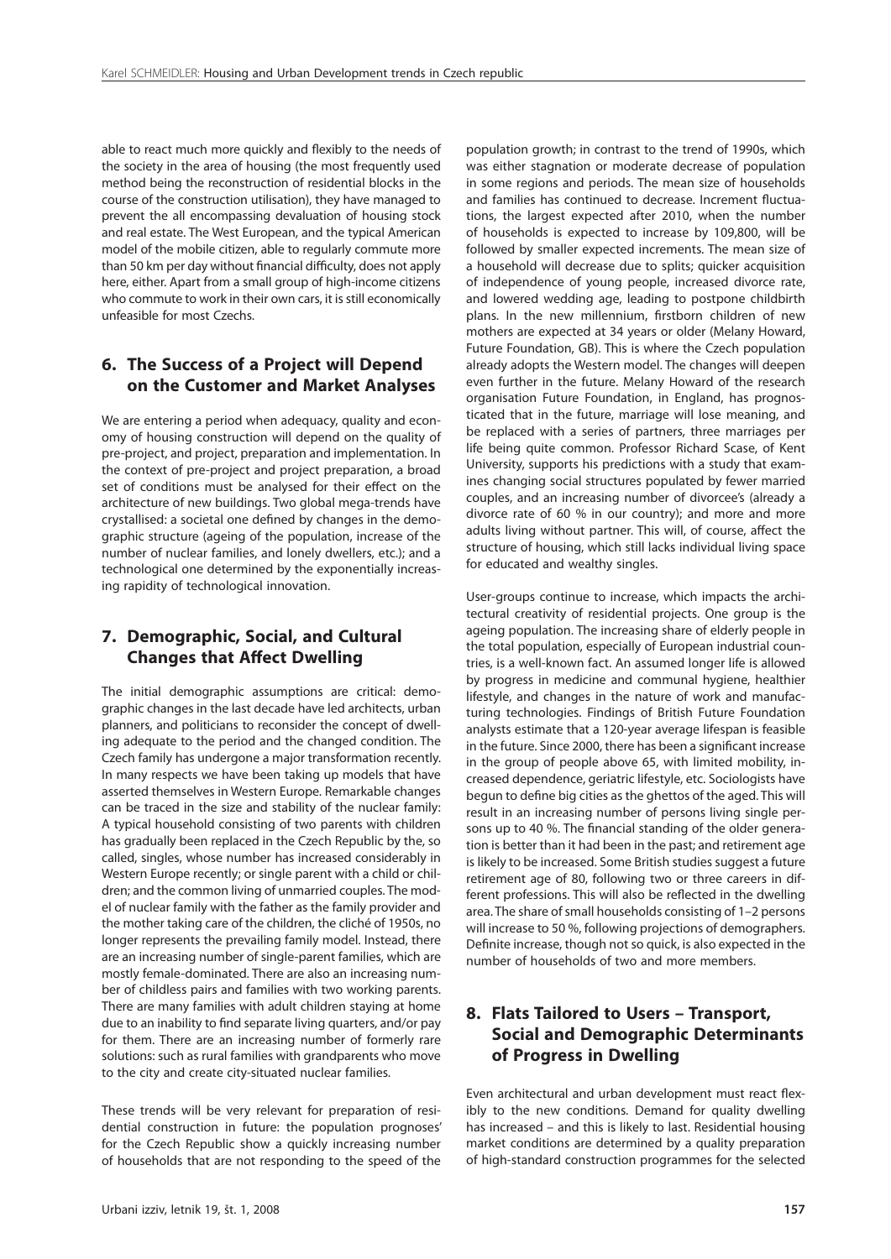able to react much more quickly and flexibly to the needs of the society in the area of housing (the most frequently used method being the reconstruction of residential blocks in the course of the construction utilisation), they have managed to prevent the all encompassing devaluation of housing stock and real estate. The West European, and the typical American model of the mobile citizen, able to regularly commute more than 50 km per day without financial difficulty, does not apply here, either. Apart from a small group of high-income citizens who commute to work in their own cars, it is still economically unfeasible for most Czechs.

#### **6. The Success of a Project will Depend on the Customer and Market Analyses**

We are entering a period when adequacy, quality and economy of housing construction will depend on the quality of pre-project, and project, preparation and implementation. In the context of pre-project and project preparation, a broad set of conditions must be analysed for their effect on the architecture of new buildings. Two global mega-trends have crystallised: a societal one defined by changes in the demographic structure (ageing of the population, increase of the number of nuclear families, and lonely dwellers, etc.); and a technological one determined by the exponentially increasing rapidity of technological innovation.

#### **7. Demographic, Social, and Cultural Changes that Affect Dwelling**

The initial demographic assumptions are critical: demographic changes in the last decade have led architects, urban planners, and politicians to reconsider the concept of dwelling adequate to the period and the changed condition. The Czech family has undergone a major transformation recently. In many respects we have been taking up models that have asserted themselves in Western Europe. Remarkable changes can be traced in the size and stability of the nuclear family: A typical household consisting of two parents with children has gradually been replaced in the Czech Republic by the, so called, singles, whose number has increased considerably in Western Europe recently; or single parent with a child or children; and the common living of unmarried couples. The model of nuclear family with the father as the family provider and the mother taking care of the children, the cliché of 1950s, no longer represents the prevailing family model. Instead, there are an increasing number of single-parent families, which are mostly female-dominated. There are also an increasing number of childless pairs and families with two working parents. There are many families with adult children staying at home due to an inability to find separate living quarters, and/or pay for them. There are an increasing number of formerly rare solutions: such as rural families with grandparents who move to the city and create city-situated nuclear families.

These trends will be very relevant for preparation of residential construction in future: the population prognoses' for the Czech Republic show a quickly increasing number of households that are not responding to the speed of the population growth; in contrast to the trend of 1990s, which was either stagnation or moderate decrease of population in some regions and periods. The mean size of households and families has continued to decrease. Increment fluctuations, the largest expected after 2010, when the number of households is expected to increase by 109,800, will be followed by smaller expected increments. The mean size of a household will decrease due to splits; quicker acquisition of independence of young people, increased divorce rate, and lowered wedding age, leading to postpone childbirth plans. In the new millennium, firstborn children of new mothers are expected at 34 years or older (Melany Howard, Future Foundation, GB). This is where the Czech population already adopts the Western model. The changes will deepen even further in the future. Melany Howard of the research organisation Future Foundation, in England, has prognosticated that in the future, marriage will lose meaning, and be replaced with a series of partners, three marriages per life being quite common. Professor Richard Scase, of Kent University, supports his predictions with a study that examines changing social structures populated by fewer married couples, and an increasing number of divorcee's (already a divorce rate of 60 % in our country); and more and more adults living without partner. This will, of course, affect the structure of housing, which still lacks individual living space for educated and wealthy singles.

User-groups continue to increase, which impacts the architectural creativity of residential projects. One group is the ageing population. The increasing share of elderly people in the total population, especially of European industrial countries, is a well-known fact. An assumed longer life is allowed by progress in medicine and communal hygiene, healthier lifestyle, and changes in the nature of work and manufacturing technologies. Findings of British Future Foundation analysts estimate that a 120-year average lifespan is feasible in the future. Since 2000, there has been a significant increase in the group of people above 65, with limited mobility, increased dependence, geriatric lifestyle, etc. Sociologists have begun to define big cities as the ghettos of the aged. This will result in an increasing number of persons living single persons up to 40 %. The financial standing of the older generation is better than it had been in the past; and retirement age is likely to be increased. Some British studies suggest a future retirement age of 80, following two or three careers in different professions. This will also be reflected in the dwelling area. The share of small households consisting of 1–2 persons will increase to 50 %, following projections of demographers. Definite increase, though not so quick, is also expected in the number of households of two and more members.

## **8. Flats Tailored to Users – Transport, Social and Demographic Determinants of Progress in Dwelling**

Even architectural and urban development must react flexibly to the new conditions. Demand for quality dwelling has increased – and this is likely to last. Residential housing market conditions are determined by a quality preparation of high-standard construction programmes for the selected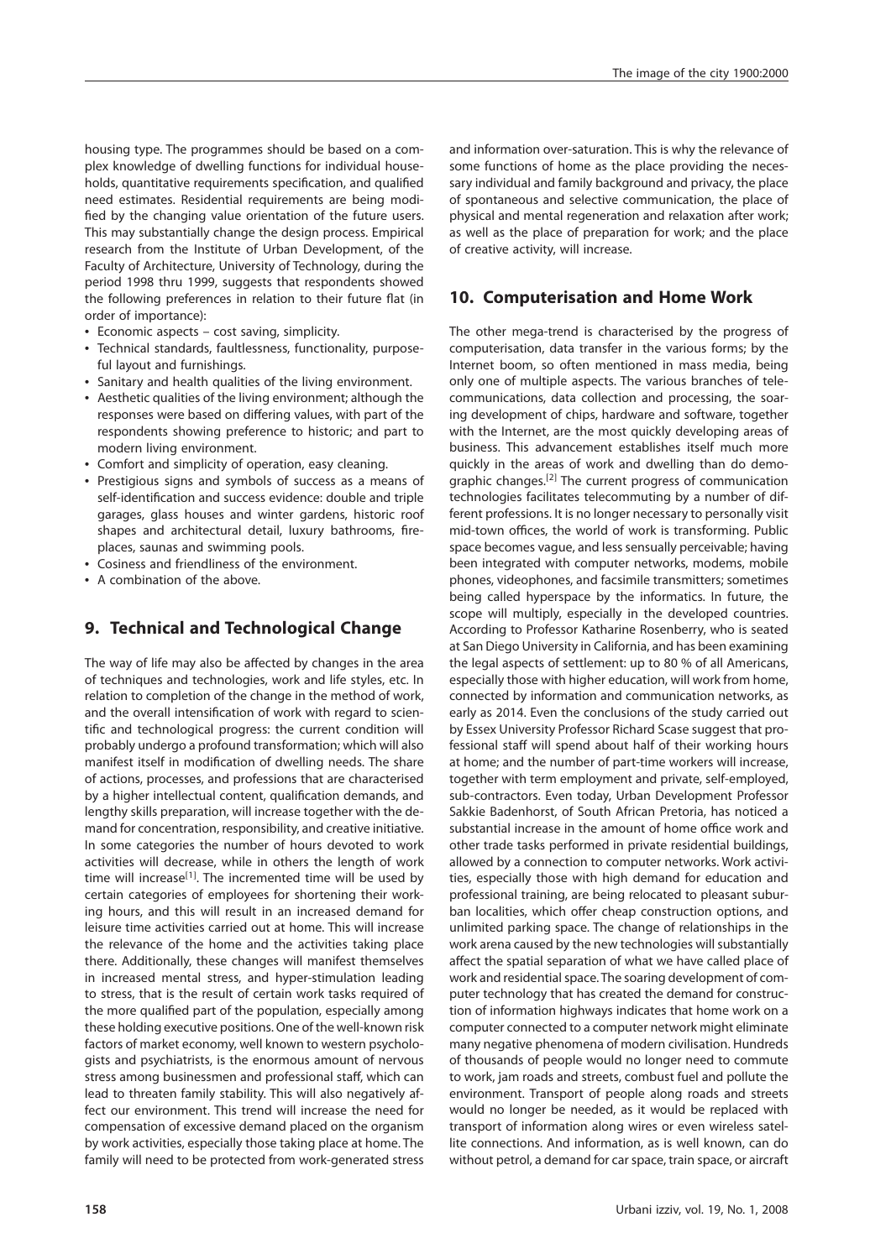housing type. The programmes should be based on a complex knowledge of dwelling functions for individual households, quantitative requirements specification, and qualified need estimates. Residential requirements are being modified by the changing value orientation of the future users. This may substantially change the design process. Empirical research from the Institute of Urban Development, of the Faculty of Architecture, University of Technology, during the period 1998 thru 1999, suggests that respondents showed the following preferences in relation to their future flat (in order of importance):

- Economic aspects cost saving, simplicity.
- Technical standards, faultlessness, functionality, purposeful layout and furnishings.
- Sanitary and health qualities of the living environment.
- Aesthetic qualities of the living environment; although the responses were based on differing values, with part of the respondents showing preference to historic; and part to modern living environment.
- Comfort and simplicity of operation, easy cleaning.
- Prestigious signs and symbols of success as a means of self-identification and success evidence: double and triple garages, glass houses and winter gardens, historic roof shapes and architectural detail, luxury bathrooms, fireplaces, saunas and swimming pools.
- Cosiness and friendliness of the environment.
- A combination of the above.

#### **9. Technical and Technological Change**

The way of life may also be affected by changes in the area of techniques and technologies, work and life styles, etc. In relation to completion of the change in the method of work, and the overall intensification of work with regard to scientific and technological progress: the current condition will probably undergo a profound transformation; which will also manifest itself in modification of dwelling needs. The share of actions, processes, and professions that are characterised by a higher intellectual content, qualification demands, and lengthy skills preparation, will increase together with the demand for concentration, responsibility, and creative initiative. In some categories the number of hours devoted to work activities will decrease, while in others the length of work time will increase<sup>[1]</sup>. The incremented time will be used by certain categories of employees for shortening their working hours, and this will result in an increased demand for leisure time activities carried out at home. This will increase the relevance of the home and the activities taking place there. Additionally, these changes will manifest themselves in increased mental stress, and hyper-stimulation leading to stress, that is the result of certain work tasks required of the more qualified part of the population, especially among these holding executive positions. One of the well-known risk factors of market economy, well known to western psychologists and psychiatrists, is the enormous amount of nervous stress among businessmen and professional staff, which can lead to threaten family stability. This will also negatively affect our environment. This trend will increase the need for compensation of excessive demand placed on the organism by work activities, especially those taking place at home. The family will need to be protected from work-generated stress

and information over-saturation. This is why the relevance of some functions of home as the place providing the necessary individual and family background and privacy, the place of spontaneous and selective communication, the place of physical and mental regeneration and relaxation after work; as well as the place of preparation for work; and the place of creative activity, will increase.

#### **10. Computerisation and Home Work**

The other mega-trend is characterised by the progress of computerisation, data transfer in the various forms; by the Internet boom, so often mentioned in mass media, being only one of multiple aspects. The various branches of telecommunications, data collection and processing, the soaring development of chips, hardware and software, together with the Internet, are the most quickly developing areas of business. This advancement establishes itself much more quickly in the areas of work and dwelling than do demographic changes.<sup>[2]</sup> The current progress of communication technologies facilitates telecommuting by a number of different professions. It is no longer necessary to personally visit mid-town offices, the world of work is transforming. Public space becomes vague, and less sensually perceivable; having been integrated with computer networks, modems, mobile phones, videophones, and facsimile transmitters; sometimes being called hyperspace by the informatics. In future, the scope will multiply, especially in the developed countries. According to Professor Katharine Rosenberry, who is seated at San Diego University in California, and has been examining the legal aspects of settlement: up to 80 % of all Americans, especially those with higher education, will work from home, connected by information and communication networks, as early as 2014. Even the conclusions of the study carried out by Essex University Professor Richard Scase suggest that professional staff will spend about half of their working hours at home; and the number of part-time workers will increase, together with term employment and private, self-employed, sub-contractors. Even today, Urban Development Professor Sakkie Badenhorst, of South African Pretoria, has noticed a substantial increase in the amount of home office work and other trade tasks performed in private residential buildings, allowed by a connection to computer networks. Work activities, especially those with high demand for education and professional training, are being relocated to pleasant suburban localities, which offer cheap construction options, and unlimited parking space. The change of relationships in the work arena caused by the new technologies will substantially affect the spatial separation of what we have called place of work and residential space. The soaring development of computer technology that has created the demand for construction of information highways indicates that home work on a computer connected to a computer network might eliminate many negative phenomena of modern civilisation. Hundreds of thousands of people would no longer need to commute to work, jam roads and streets, combust fuel and pollute the environment. Transport of people along roads and streets would no longer be needed, as it would be replaced with transport of information along wires or even wireless satellite connections. And information, as is well known, can do without petrol, a demand for car space, train space, or aircraft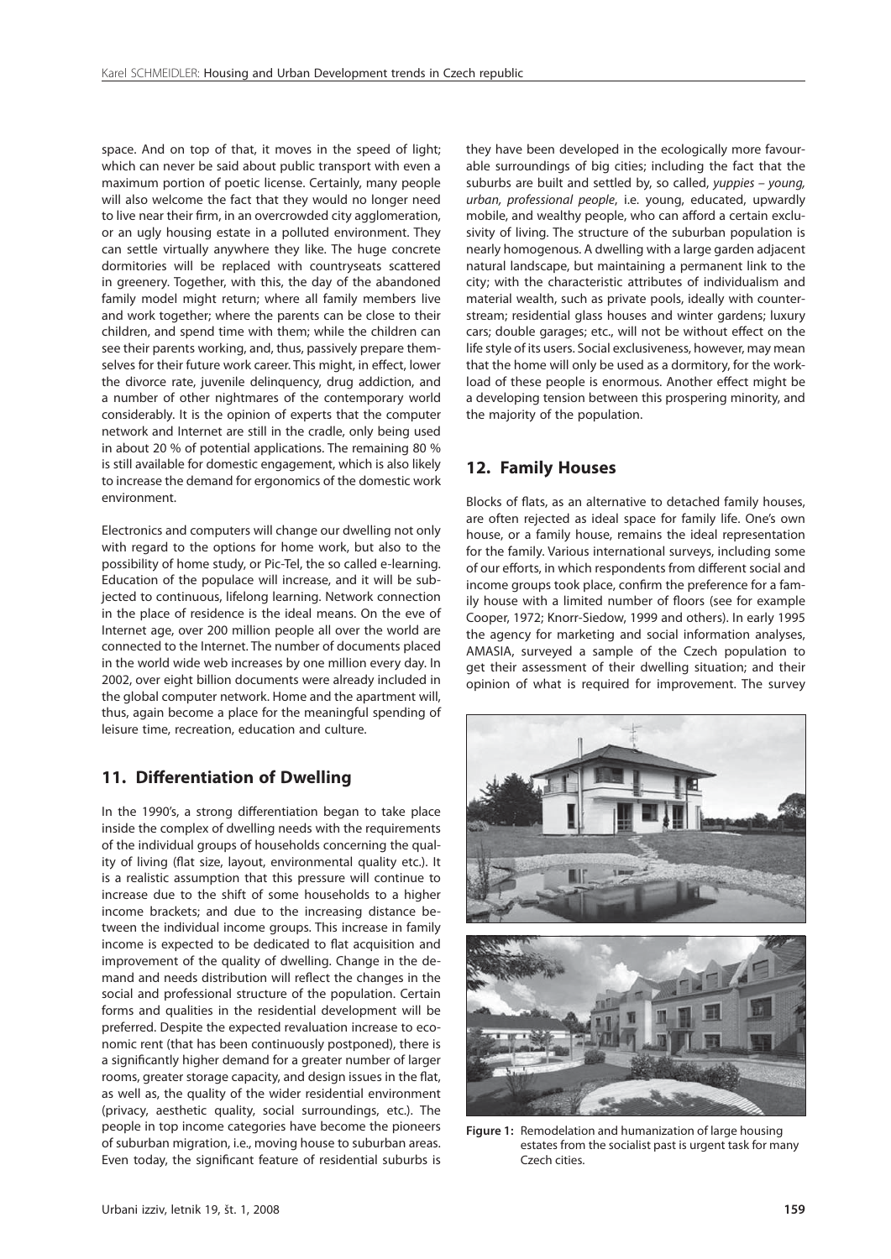space. And on top of that, it moves in the speed of light; which can never be said about public transport with even a maximum portion of poetic license. Certainly, many people will also welcome the fact that they would no longer need to live near their firm, in an overcrowded city agglomeration, or an ugly housing estate in a polluted environment. They can settle virtually anywhere they like. The huge concrete dormitories will be replaced with countryseats scattered in greenery. Together, with this, the day of the abandoned family model might return; where all family members live and work together; where the parents can be close to their children, and spend time with them; while the children can see their parents working, and, thus, passively prepare themselves for their future work career. This might, in effect, lower the divorce rate, juvenile delinquency, drug addiction, and a number of other nightmares of the contemporary world considerably. It is the opinion of experts that the computer network and Internet are still in the cradle, only being used in about 20 % of potential applications. The remaining 80 % is still available for domestic engagement, which is also likely to increase the demand for ergonomics of the domestic work environment.

Electronics and computers will change our dwelling not only with regard to the options for home work, but also to the possibility of home study, or Pic-Tel, the so called e-learning. Education of the populace will increase, and it will be subjected to continuous, lifelong learning. Network connection in the place of residence is the ideal means. On the eve of Internet age, over 200 million people all over the world are connected to the Internet. The number of documents placed in the world wide web increases by one million every day. In 2002, over eight billion documents were already included in the global computer network. Home and the apartment will, thus, again become a place for the meaningful spending of leisure time, recreation, education and culture.

#### **11. Differentiation of Dwelling**

In the 1990's, a strong differentiation began to take place inside the complex of dwelling needs with the requirements of the individual groups of households concerning the quality of living (flat size, layout, environmental quality etc.). It is a realistic assumption that this pressure will continue to increase due to the shift of some households to a higher income brackets; and due to the increasing distance between the individual income groups. This increase in family income is expected to be dedicated to flat acquisition and improvement of the quality of dwelling. Change in the demand and needs distribution will reflect the changes in the social and professional structure of the population. Certain forms and qualities in the residential development will be preferred. Despite the expected revaluation increase to economic rent (that has been continuously postponed), there is a significantly higher demand for a greater number of larger rooms, greater storage capacity, and design issues in the flat, as well as, the quality of the wider residential environment (privacy, aesthetic quality, social surroundings, etc.). The people in top income categories have become the pioneers of suburban migration, i.e., moving house to suburban areas. Even today, the significant feature of residential suburbs is they have been developed in the ecologically more favourable surroundings of big cities; including the fact that the suburbs are built and settled by, so called, yuppies – young, urban, professional people, i.e. young, educated, upwardly mobile, and wealthy people, who can afford a certain exclusivity of living. The structure of the suburban population is nearly homogenous. A dwelling with a large garden adjacent natural landscape, but maintaining a permanent link to the city; with the characteristic attributes of individualism and material wealth, such as private pools, ideally with counterstream; residential glass houses and winter gardens; luxury cars; double garages; etc., will not be without effect on the life style of its users. Social exclusiveness, however, may mean that the home will only be used as a dormitory, for the workload of these people is enormous. Another effect might be a developing tension between this prospering minority, and the majority of the population.

#### **12. Family Houses**

Blocks of flats, as an alternative to detached family houses, are often rejected as ideal space for family life. One's own house, or a family house, remains the ideal representation for the family. Various international surveys, including some of our efforts, in which respondents from different social and income groups took place, confirm the preference for a family house with a limited number of floors (see for example Cooper, 1972; Knorr-Siedow, 1999 and others). In early 1995 the agency for marketing and social information analyses, AMASIA, surveyed a sample of the Czech population to get their assessment of their dwelling situation; and their opinion of what is required for improvement. The survey



**Figure 1:** Remodelation and humanization of large housing estates from the socialist past is urgent task for many Czech cities.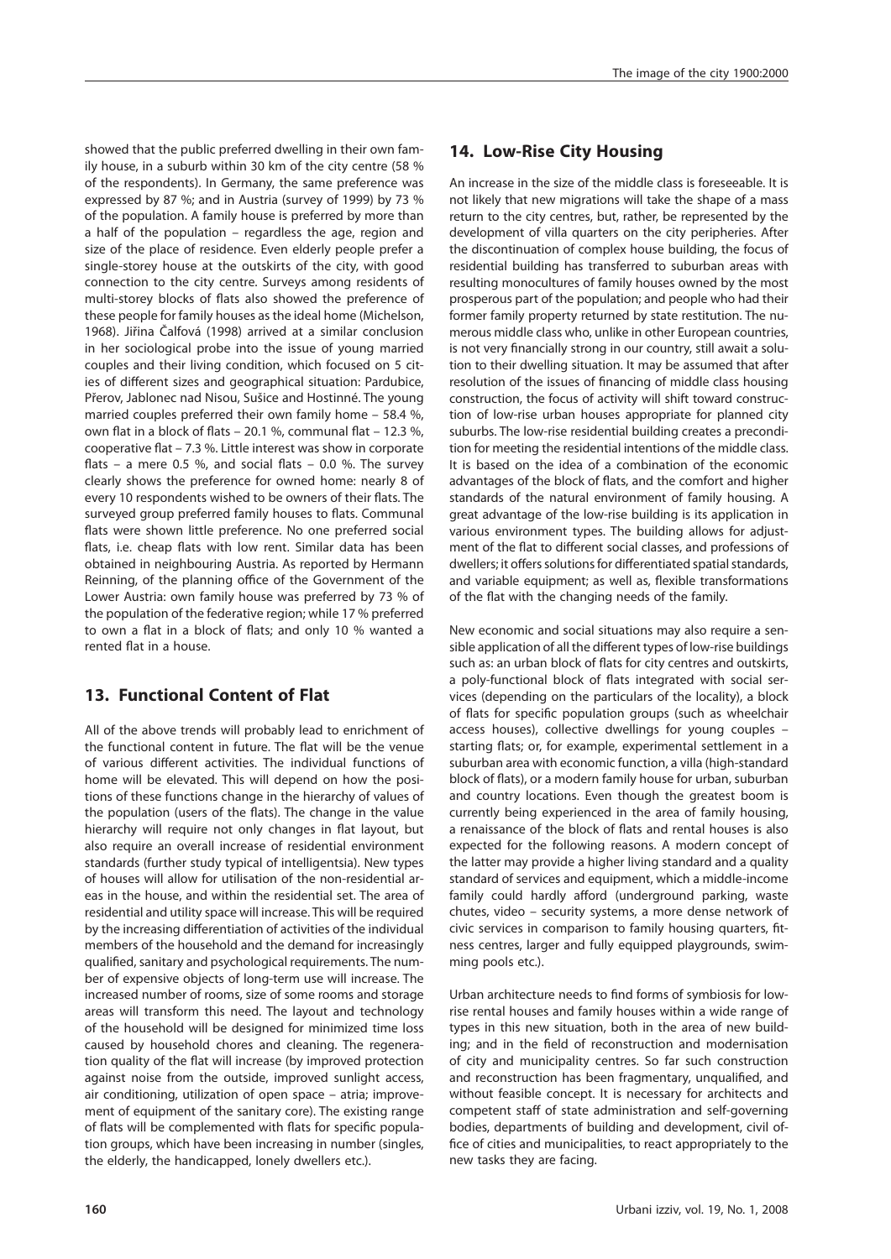showed that the public preferred dwelling in their own family house, in a suburb within 30 km of the city centre (58 % of the respondents). In Germany, the same preference was expressed by 87 %; and in Austria (survey of 1999) by 73 % of the population. A family house is preferred by more than a half of the population – regardless the age, region and size of the place of residence. Even elderly people prefer a single-storey house at the outskirts of the city, with good connection to the city centre. Surveys among residents of multi-storey blocks of flats also showed the preference of these people for family houses as the ideal home (Michelson, 1968). Jiřina Čalfová (1998) arrived at a similar conclusion in her sociological probe into the issue of young married couples and their living condition, which focused on 5 cities of different sizes and geographical situation: Pardubice, Přerov, Jablonec nad Nisou, Sušice and Hostinné. The young married couples preferred their own family home – 58.4 %, own flat in a block of flats – 20.1 %, communal flat – 12.3 %, cooperative flat  $-7.3$ %. Little interest was show in corporate flats – a mere 0.5 %, and social flats – 0.0 %. The survey clearly shows the preference for owned home: nearly 8 of every 10 respondents wished to be owners of their flats. The surveyed group preferred family houses to flats. Communal flats were shown little preference. No one preferred social flats, i.e. cheap flats with low rent. Similar data has been obtained in neighbouring Austria. As reported by Hermann Reinning, of the planning office of the Government of the Lower Austria: own family house was preferred by 73 % of the population of the federative region; while 17 % preferred to own a flat in a block of flats; and only 10 % wanted a rented flat in a house.

## **13. Functional Content of Flat**

All of the above trends will probably lead to enrichment of the functional content in future. The flat will be the venue of various different activities. The individual functions of home will be elevated. This will depend on how the positions of these functions change in the hierarchy of values of the population (users of the flats). The change in the value hierarchy will require not only changes in flat layout, but also require an overall increase of residential environment standards (further study typical of intelligentsia). New types of houses will allow for utilisation of the non-residential areas in the house, and within the residential set. The area of residential and utility space will increase. This will be required by the increasing differentiation of activities of the individual members of the household and the demand for increasingly qualified, sanitary and psychological requirements. The number of expensive objects of long-term use will increase. The increased number of rooms, size of some rooms and storage areas will transform this need. The layout and technology of the household will be designed for minimized time loss caused by household chores and cleaning. The regeneration quality of the flat will increase (by improved protection against noise from the outside, improved sunlight access, air conditioning, utilization of open space – atria; improvement of equipment of the sanitary core). The existing range of flats will be complemented with flats for specific population groups, which have been increasing in number (singles, the elderly, the handicapped, lonely dwellers etc.).

## **14. Low-Rise City Housing**

An increase in the size of the middle class is foreseeable. It is not likely that new migrations will take the shape of a mass return to the city centres, but, rather, be represented by the development of villa quarters on the city peripheries. After the discontinuation of complex house building, the focus of residential building has transferred to suburban areas with resulting monocultures of family houses owned by the most prosperous part of the population; and people who had their former family property returned by state restitution. The numerous middle class who, unlike in other European countries, is not very financially strong in our country, still await a solution to their dwelling situation. It may be assumed that after resolution of the issues of financing of middle class housing construction, the focus of activity will shift toward construction of low-rise urban houses appropriate for planned city suburbs. The low-rise residential building creates a precondition for meeting the residential intentions of the middle class. It is based on the idea of a combination of the economic advantages of the block of flats, and the comfort and higher standards of the natural environment of family housing. A great advantage of the low-rise building is its application in various environment types. The building allows for adjustment of the flat to different social classes, and professions of dwellers; it offers solutions for differentiated spatial standards, and variable equipment; as well as, flexible transformations of the flat with the changing needs of the family.

New economic and social situations may also require a sensible application of all the different types of low-rise buildings such as: an urban block of flats for city centres and outskirts, a poly-functional block of flats integrated with social services (depending on the particulars of the locality), a block of flats for specific population groups (such as wheelchair access houses), collective dwellings for young couples – starting flats; or, for example, experimental settlement in a suburban area with economic function, a villa (high-standard block of flats), or a modern family house for urban, suburban and country locations. Even though the greatest boom is currently being experienced in the area of family housing, a renaissance of the block of flats and rental houses is also expected for the following reasons. A modern concept of the latter may provide a higher living standard and a quality standard of services and equipment, which a middle-income family could hardly afford (underground parking, waste chutes, video – security systems, a more dense network of civic services in comparison to family housing quarters, fitness centres, larger and fully equipped playgrounds, swimming pools etc.).

Urban architecture needs to find forms of symbiosis for lowrise rental houses and family houses within a wide range of types in this new situation, both in the area of new building; and in the field of reconstruction and modernisation of city and municipality centres. So far such construction and reconstruction has been fragmentary, unqualified, and without feasible concept. It is necessary for architects and competent staff of state administration and self-governing bodies, departments of building and development, civil office of cities and municipalities, to react appropriately to the new tasks they are facing.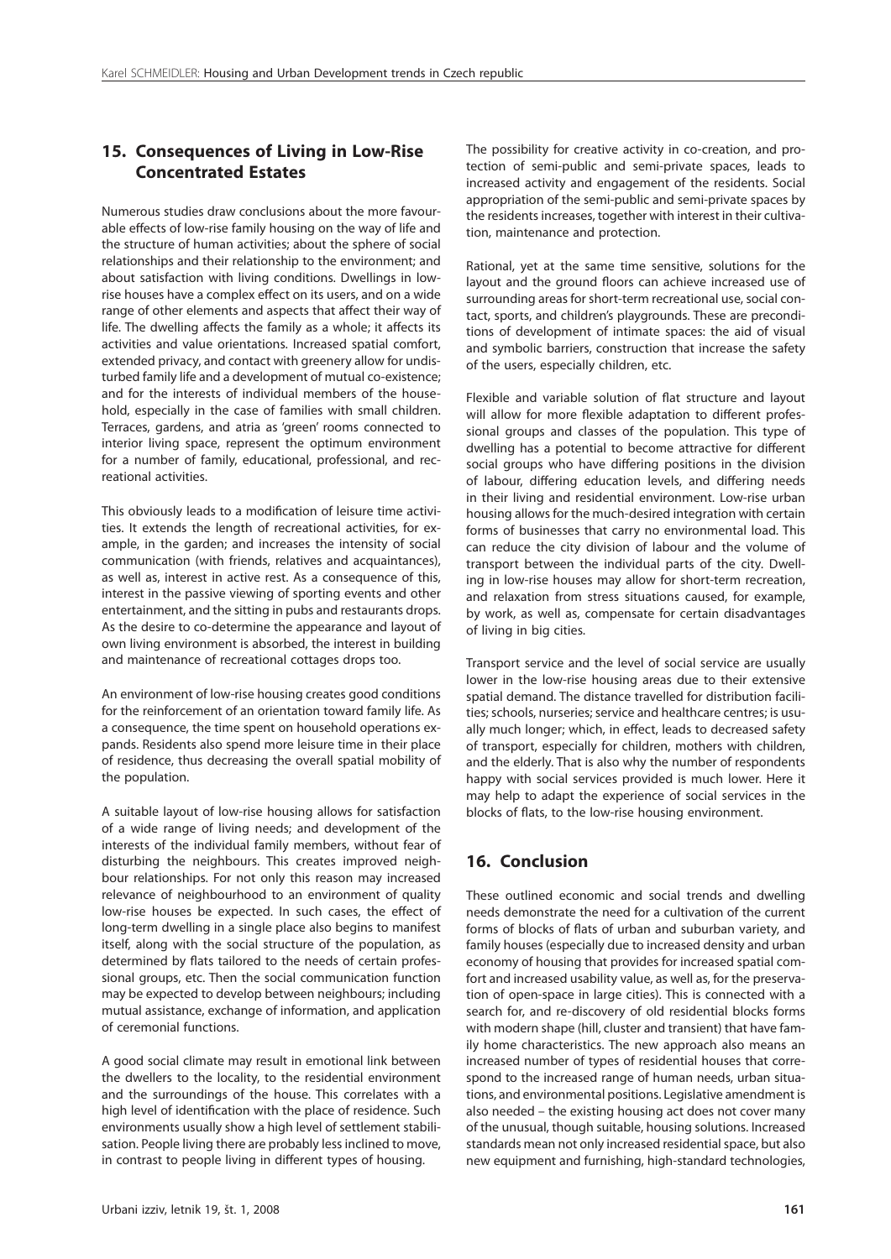#### **15. Consequences of Living in Low-Rise Concentrated Estates**

Numerous studies draw conclusions about the more favourable effects of low-rise family housing on the way of life and the structure of human activities; about the sphere of social relationships and their relationship to the environment; and about satisfaction with living conditions. Dwellings in lowrise houses have a complex effect on its users, and on a wide range of other elements and aspects that affect their way of life. The dwelling affects the family as a whole; it affects its activities and value orientations. Increased spatial comfort, extended privacy, and contact with greenery allow for undisturbed family life and a development of mutual co-existence; and for the interests of individual members of the household, especially in the case of families with small children. Terraces, gardens, and atria as 'green' rooms connected to interior living space, represent the optimum environment for a number of family, educational, professional, and recreational activities.

This obviously leads to a modification of leisure time activities. It extends the length of recreational activities, for example, in the garden; and increases the intensity of social communication (with friends, relatives and acquaintances), as well as, interest in active rest. As a consequence of this, interest in the passive viewing of sporting events and other entertainment, and the sitting in pubs and restaurants drops. As the desire to co-determine the appearance and layout of own living environment is absorbed, the interest in building and maintenance of recreational cottages drops too.

An environment of low-rise housing creates good conditions for the reinforcement of an orientation toward family life. As a consequence, the time spent on household operations expands. Residents also spend more leisure time in their place of residence, thus decreasing the overall spatial mobility of the population.

A suitable layout of low-rise housing allows for satisfaction of a wide range of living needs; and development of the interests of the individual family members, without fear of disturbing the neighbours. This creates improved neighbour relationships. For not only this reason may increased relevance of neighbourhood to an environment of quality low-rise houses be expected. In such cases, the effect of long-term dwelling in a single place also begins to manifest itself, along with the social structure of the population, as determined by flats tailored to the needs of certain professional groups, etc. Then the social communication function may be expected to develop between neighbours; including mutual assistance, exchange of information, and application of ceremonial functions.

A good social climate may result in emotional link between the dwellers to the locality, to the residential environment and the surroundings of the house. This correlates with a high level of identification with the place of residence. Such environments usually show a high level of settlement stabilisation. People living there are probably less inclined to move, in contrast to people living in different types of housing.

The possibility for creative activity in co-creation, and protection of semi-public and semi-private spaces, leads to increased activity and engagement of the residents. Social appropriation of the semi-public and semi-private spaces by the residents increases, together with interest in their cultivation, maintenance and protection.

Rational, yet at the same time sensitive, solutions for the layout and the ground floors can achieve increased use of surrounding areas for short-term recreational use, social contact, sports, and children's playgrounds. These are preconditions of development of intimate spaces: the aid of visual and symbolic barriers, construction that increase the safety of the users, especially children, etc.

Flexible and variable solution of flat structure and layout will allow for more flexible adaptation to different professional groups and classes of the population. This type of dwelling has a potential to become attractive for different social groups who have differing positions in the division of labour, differing education levels, and differing needs in their living and residential environment. Low-rise urban housing allows for the much-desired integration with certain forms of businesses that carry no environmental load. This can reduce the city division of labour and the volume of transport between the individual parts of the city. Dwelling in low-rise houses may allow for short-term recreation, and relaxation from stress situations caused, for example, by work, as well as, compensate for certain disadvantages of living in big cities.

Transport service and the level of social service are usually lower in the low-rise housing areas due to their extensive spatial demand. The distance travelled for distribution facilities; schools, nurseries; service and healthcare centres; is usually much longer; which, in effect, leads to decreased safety of transport, especially for children, mothers with children, and the elderly. That is also why the number of respondents happy with social services provided is much lower. Here it may help to adapt the experience of social services in the blocks of flats, to the low-rise housing environment.

## **16. Conclusion**

These outlined economic and social trends and dwelling needs demonstrate the need for a cultivation of the current forms of blocks of flats of urban and suburban variety, and family houses (especially due to increased density and urban economy of housing that provides for increased spatial comfort and increased usability value, as well as, for the preservation of open-space in large cities). This is connected with a search for, and re-discovery of old residential blocks forms with modern shape (hill, cluster and transient) that have family home characteristics. The new approach also means an increased number of types of residential houses that correspond to the increased range of human needs, urban situations, and environmental positions. Legislative amendment is also needed – the existing housing act does not cover many of the unusual, though suitable, housing solutions. Increased standards mean not only increased residential space, but also new equipment and furnishing, high-standard technologies,